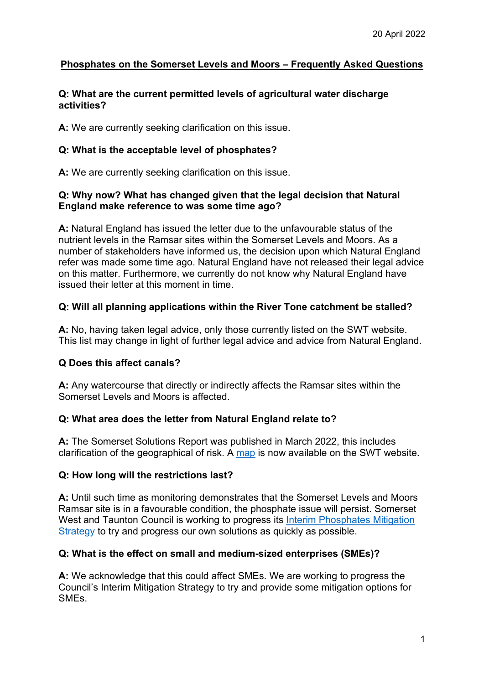# **Phosphates on the Somerset Levels and Moors – Frequently Asked Questions**

### **Q: What are the current permitted levels of agricultural water discharge activities?**

**A:** We are currently seeking clarification on this issue.

# **Q: What is the acceptable level of phosphates?**

**A:** We are currently seeking clarification on this issue.

## **Q: Why now? What has changed given that the legal decision that Natural England make reference to was some time ago?**

**A:** Natural England has issued the letter due to the unfavourable status of the nutrient levels in the Ramsar sites within the Somerset Levels and Moors. As a number of stakeholders have informed us, the decision upon which Natural England refer was made some time ago. Natural England have not released their legal advice on this matter. Furthermore, we currently do not know why Natural England have issued their letter at this moment in time.

# **Q: Will all planning applications within the River Tone catchment be stalled?**

**A:** No, having taken legal advice, only those currently listed on the SWT website. This list may change in light of further legal advice and advice from Natural England.

# **Q Does this affect canals?**

**A:** Any watercourse that directly or indirectly affects the Ramsar sites within the Somerset Levels and Moors is affected.

# **Q: What area does the letter from Natural England relate to?**

**A:** The Somerset Solutions Report was published in March 2022, this includes clarification of the geographical of risk. A [map](https://www.somersetwestandtaunton.gov.uk/media/3230/catchmentareas.pdf) is now available on the SWT website.

# **Q: How long will the restrictions last?**

**A:** Until such time as monitoring demonstrates that the Somerset Levels and Moors Ramsar site is in a favourable condition, the phosphate issue will persist. Somerset West and Taunton Council is working to progress its Interim Phosphates Mitigation [Strategy](https://www.somersetwestandtaunton.gov.uk/media/2894/somerset-levels-and-moors-phosphate-mitigation-report-to-full-council-05-oct-2021.pdf) to try and progress our own solutions as quickly as possible.

# **Q: What is the effect on small and medium-sized enterprises (SMEs)?**

**A:** We acknowledge that this could affect SMEs. We are working to progress the Council's Interim Mitigation Strategy to try and provide some mitigation options for **SM<sub>E</sub>s**.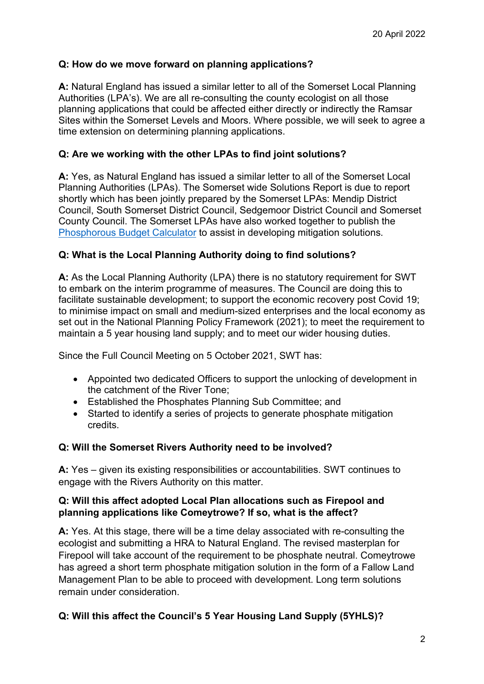## **Q: How do we move forward on planning applications?**

**A:** Natural England has issued a similar letter to all of the Somerset Local Planning Authorities (LPA's). We are all re-consulting the county ecologist on all those planning applications that could be affected either directly or indirectly the Ramsar Sites within the Somerset Levels and Moors. Where possible, we will seek to agree a time extension on determining planning applications.

### **Q: Are we working with the other LPAs to find joint solutions?**

**A:** Yes, as Natural England has issued a similar letter to all of the Somerset Local Planning Authorities (LPAs). The Somerset wide Solutions Report is due to report shortly which has been jointly prepared by the Somerset LPAs: Mendip District Council, South Somerset District Council, Sedgemoor District Council and Somerset County Council. The Somerset LPAs have also worked together to publish the [Phosphorous Budget Calculator](https://ssccust1.spreadsheethosting.com/1/3d/08e177701b0026/Copy%20of%20P%20budget%20Calc_V3.1%20developer%20version/Copy%20of%20P%20budget%20Calc_V3.1%20developer%20version.htm) to assist in developing mitigation solutions.

### **Q: What is the Local Planning Authority doing to find solutions?**

**A:** As the Local Planning Authority (LPA) there is no statutory requirement for SWT to embark on the interim programme of measures. The Council are doing this to facilitate sustainable development; to support the economic recovery post Covid 19; to minimise impact on small and medium-sized enterprises and the local economy as set out in the National Planning Policy Framework (2021); to meet the requirement to maintain a 5 year housing land supply; and to meet our wider housing duties.

Since the Full Council Meeting on 5 October 2021, SWT has:

- Appointed two dedicated Officers to support the unlocking of development in the catchment of the River Tone;
- Established the Phosphates Planning Sub Committee; and
- Started to identify a series of projects to generate phosphate mitigation credits.

### **Q: Will the Somerset Rivers Authority need to be involved?**

**A:** Yes – given its existing responsibilities or accountabilities. SWT continues to engage with the Rivers Authority on this matter.

## **Q: Will this affect adopted Local Plan allocations such as Firepool and planning applications like Comeytrowe? If so, what is the affect?**

**A:** Yes. At this stage, there will be a time delay associated with re-consulting the ecologist and submitting a HRA to Natural England. The revised masterplan for Firepool will take account of the requirement to be phosphate neutral. Comeytrowe has agreed a short term phosphate mitigation solution in the form of a Fallow Land Management Plan to be able to proceed with development. Long term solutions remain under consideration.

# **Q: Will this affect the Council's 5 Year Housing Land Supply (5YHLS)?**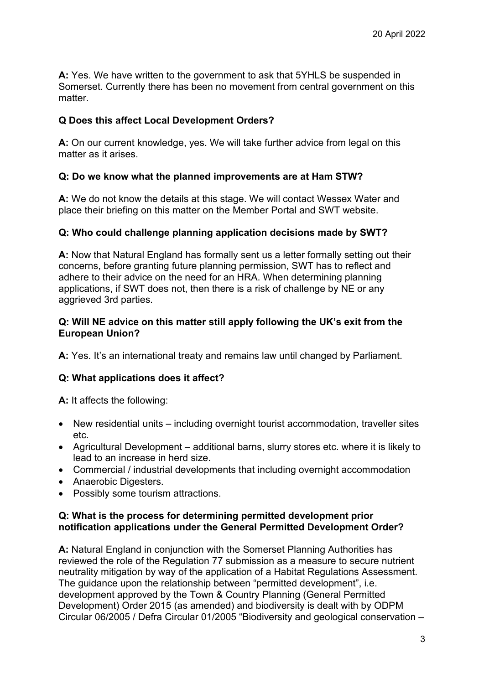**A:** Yes. We have written to the government to ask that 5YHLS be suspended in Somerset. Currently there has been no movement from central government on this matter.

## **Q Does this affect Local Development Orders?**

**A:** On our current knowledge, yes. We will take further advice from legal on this matter as it arises.

### **Q: Do we know what the planned improvements are at Ham STW?**

**A:** We do not know the details at this stage. We will contact Wessex Water and place their briefing on this matter on the Member Portal and SWT website.

## **Q: Who could challenge planning application decisions made by SWT?**

**A:** Now that Natural England has formally sent us a letter formally setting out their concerns, before granting future planning permission, SWT has to reflect and adhere to their advice on the need for an HRA. When determining planning applications, if SWT does not, then there is a risk of challenge by NE or any aggrieved 3rd parties.

### **Q: Will NE advice on this matter still apply following the UK's exit from the European Union?**

**A:** Yes. It's an international treaty and remains law until changed by Parliament.

# **Q: What applications does it affect?**

**A:** It affects the following:

- New residential units including overnight tourist accommodation, traveller sites etc.
- Agricultural Development additional barns, slurry stores etc. where it is likely to lead to an increase in herd size.
- Commercial / industrial developments that including overnight accommodation
- Anaerobic Digesters.
- Possibly some tourism attractions.

### **Q: What is the process for determining permitted development prior notification applications under the General Permitted Development Order?**

**A:** Natural England in conjunction with the Somerset Planning Authorities has reviewed the role of the Regulation 77 submission as a measure to secure nutrient neutrality mitigation by way of the application of a Habitat Regulations Assessment. The guidance upon the relationship between "permitted development", i.e. development approved by the Town & Country Planning (General Permitted Development) Order 2015 (as amended) and biodiversity is dealt with by ODPM Circular 06/2005 / Defra Circular 01/2005 "Biodiversity and geological conservation –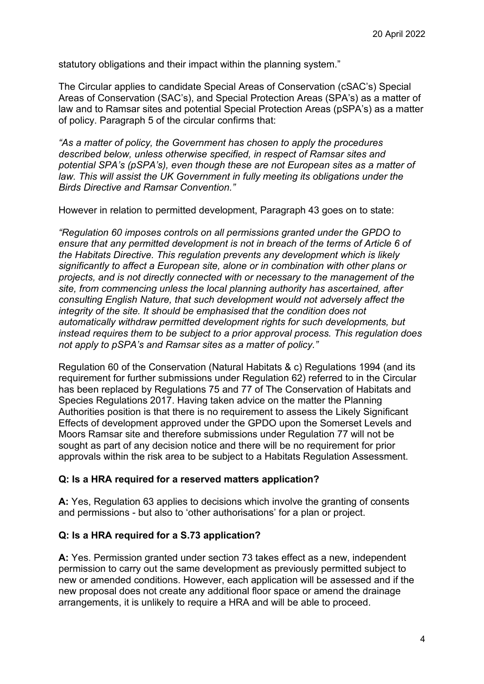statutory obligations and their impact within the planning system."

The Circular applies to candidate Special Areas of Conservation (cSAC's) Special Areas of Conservation (SAC's), and Special Protection Areas (SPA's) as a matter of law and to Ramsar sites and potential Special Protection Areas (pSPA's) as a matter of policy. Paragraph 5 of the circular confirms that:

*"As a matter of policy, the Government has chosen to apply the procedures described below, unless otherwise specified, in respect of Ramsar sites and potential SPA's (pSPA's), even though these are not European sites as a matter of law. This will assist the UK Government in fully meeting its obligations under the Birds Directive and Ramsar Convention."*

However in relation to permitted development, Paragraph 43 goes on to state:

*"Regulation 60 imposes controls on all permissions granted under the GPDO to ensure that any permitted development is not in breach of the terms of Article 6 of the Habitats Directive. This regulation prevents any development which is likely significantly to affect a European site, alone or in combination with other plans or projects, and is not directly connected with or necessary to the management of the site, from commencing unless the local planning authority has ascertained, after consulting English Nature, that such development would not adversely affect the integrity of the site. It should be emphasised that the condition does not automatically withdraw permitted development rights for such developments, but instead requires them to be subject to a prior approval process. This regulation does not apply to pSPA's and Ramsar sites as a matter of policy."*

Regulation 60 of the Conservation (Natural Habitats & c) Regulations 1994 (and its requirement for further submissions under Regulation 62) referred to in the Circular has been replaced by Regulations 75 and 77 of The Conservation of Habitats and Species Regulations 2017. Having taken advice on the matter the Planning Authorities position is that there is no requirement to assess the Likely Significant Effects of development approved under the GPDO upon the Somerset Levels and Moors Ramsar site and therefore submissions under Regulation 77 will not be sought as part of any decision notice and there will be no requirement for prior approvals within the risk area to be subject to a Habitats Regulation Assessment.

### **Q: Is a HRA required for a reserved matters application?**

**A:** Yes, Regulation 63 applies to decisions which involve the granting of consents and permissions - but also to 'other authorisations' for a plan or project.

### **Q: Is a HRA required for a S.73 application?**

**A:** Yes. Permission granted under section 73 takes effect as a new, independent permission to carry out the same development as previously permitted subject to new or amended conditions. However, each application will be assessed and if the new proposal does not create any additional floor space or amend the drainage arrangements, it is unlikely to require a HRA and will be able to proceed.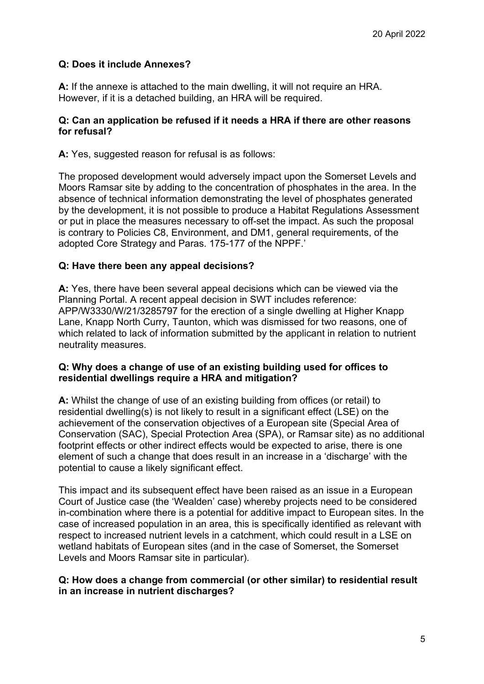# **Q: Does it include Annexes?**

**A:** If the annexe is attached to the main dwelling, it will not require an HRA. However, if it is a detached building, an HRA will be required.

### **Q: Can an application be refused if it needs a HRA if there are other reasons for refusal?**

**A:** Yes, suggested reason for refusal is as follows:

The proposed development would adversely impact upon the Somerset Levels and Moors Ramsar site by adding to the concentration of phosphates in the area. In the absence of technical information demonstrating the level of phosphates generated by the development, it is not possible to produce a Habitat Regulations Assessment or put in place the measures necessary to off-set the impact. As such the proposal is contrary to Policies C8, Environment, and DM1, general requirements, of the adopted Core Strategy and Paras. 175-177 of the NPPF.'

## **Q: Have there been any appeal decisions?**

**A:** Yes, there have been several appeal decisions which can be viewed via the Planning Portal. A recent appeal decision in SWT includes reference: APP/W3330/W/21/3285797 for the erection of a single dwelling at Higher Knapp Lane, Knapp North Curry, Taunton, which was dismissed for two reasons, one of which related to lack of information submitted by the applicant in relation to nutrient neutrality measures.

### **Q: Why does a change of use of an existing building used for offices to residential dwellings require a HRA and mitigation?**

**A:** Whilst the change of use of an existing building from offices (or retail) to residential dwelling(s) is not likely to result in a significant effect (LSE) on the achievement of the conservation objectives of a European site (Special Area of Conservation (SAC), Special Protection Area (SPA), or Ramsar site) as no additional footprint effects or other indirect effects would be expected to arise, there is one element of such a change that does result in an increase in a 'discharge' with the potential to cause a likely significant effect.

This impact and its subsequent effect have been raised as an issue in a European Court of Justice case (the 'Wealden' case) whereby projects need to be considered in-combination where there is a potential for additive impact to European sites. In the case of increased population in an area, this is specifically identified as relevant with respect to increased nutrient levels in a catchment, which could result in a LSE on wetland habitats of European sites (and in the case of Somerset, the Somerset Levels and Moors Ramsar site in particular).

### **Q: How does a change from commercial (or other similar) to residential result in an increase in nutrient discharges?**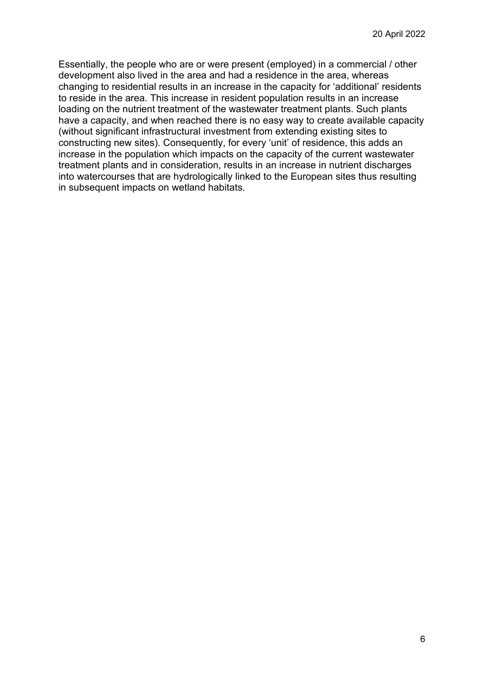Essentially, the people who are or were present (employed) in a commercial / other development also lived in the area and had a residence in the area, whereas changing to residential results in an increase in the capacity for 'additional' residents to reside in the area. This increase in resident population results in an increase loading on the nutrient treatment of the wastewater treatment plants. Such plants have a capacity, and when reached there is no easy way to create available capacity (without significant infrastructural investment from extending existing sites to constructing new sites). Consequently, for every 'unit' of residence, this adds an increase in the population which impacts on the capacity of the current wastewater treatment plants and in consideration, results in an increase in nutrient discharges into watercourses that are hydrologically linked to the European sites thus resulting in subsequent impacts on wetland habitats.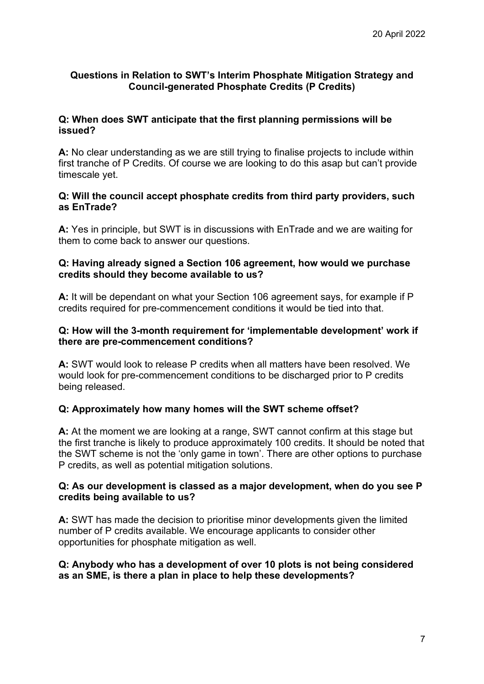## **Questions in Relation to SWT's Interim Phosphate Mitigation Strategy and Council-generated Phosphate Credits (P Credits)**

## **Q: When does SWT anticipate that the first planning permissions will be issued?**

**A:** No clear understanding as we are still trying to finalise projects to include within first tranche of P Credits. Of course we are looking to do this asap but can't provide timescale yet.

### **Q: Will the council accept phosphate credits from third party providers, such as EnTrade?**

**A:** Yes in principle, but SWT is in discussions with EnTrade and we are waiting for them to come back to answer our questions.

### **Q: Having already signed a Section 106 agreement, how would we purchase credits should they become available to us?**

**A:** It will be dependant on what your Section 106 agreement says, for example if P credits required for pre-commencement conditions it would be tied into that.

## **Q: How will the 3-month requirement for 'implementable development' work if there are pre-commencement conditions?**

**A:** SWT would look to release P credits when all matters have been resolved. We would look for pre-commencement conditions to be discharged prior to P credits being released.

# **Q: Approximately how many homes will the SWT scheme offset?**

**A:** At the moment we are looking at a range, SWT cannot confirm at this stage but the first tranche is likely to produce approximately 100 credits. It should be noted that the SWT scheme is not the 'only game in town'. There are other options to purchase P credits, as well as potential mitigation solutions.

### **Q: As our development is classed as a major development, when do you see P credits being available to us?**

**A:** SWT has made the decision to prioritise minor developments given the limited number of P credits available. We encourage applicants to consider other opportunities for phosphate mitigation as well.

## **Q: Anybody who has a development of over 10 plots is not being considered as an SME, is there a plan in place to help these developments?**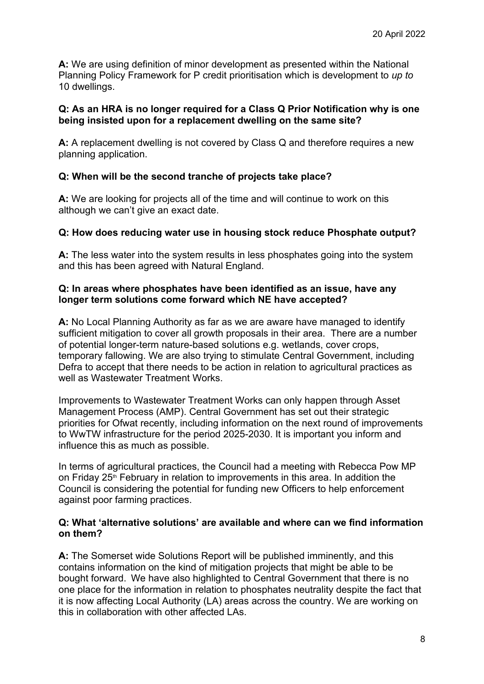**A:** We are using definition of minor development as presented within the National Planning Policy Framework for P credit prioritisation which is development to *up to*  10 dwellings.

### **Q: As an HRA is no longer required for a Class Q Prior Notification why is one being insisted upon for a replacement dwelling on the same site?**

**A:** A replacement dwelling is not covered by Class Q and therefore requires a new planning application.

## **Q: When will be the second tranche of projects take place?**

**A:** We are looking for projects all of the time and will continue to work on this although we can't give an exact date.

### **Q: How does reducing water use in housing stock reduce Phosphate output?**

**A:** The less water into the system results in less phosphates going into the system and this has been agreed with Natural England.

### **Q: In areas where phosphates have been identified as an issue, have any longer term solutions come forward which NE have accepted?**

**A:** No Local Planning Authority as far as we are aware have managed to identify sufficient mitigation to cover all growth proposals in their area. There are a number of potential longer-term nature-based solutions e.g. wetlands, cover crops, temporary fallowing. We are also trying to stimulate Central Government, including Defra to accept that there needs to be action in relation to agricultural practices as well as Wastewater Treatment Works.

Improvements to Wastewater Treatment Works can only happen through Asset Management Process (AMP). Central Government has set out their strategic priorities for Ofwat recently, including information on the next round of improvements to WwTW infrastructure for the period 2025-2030. It is important you inform and influence this as much as possible.

In terms of agricultural practices, the Council had a meeting with Rebecca Pow MP on Friday 25<sup>th</sup> February in relation to improvements in this area. In addition the Council is considering the potential for funding new Officers to help enforcement against poor farming practices.

### **Q: What 'alternative solutions' are available and where can we find information on them?**

**A:** The Somerset wide Solutions Report will be published imminently, and this contains information on the kind of mitigation projects that might be able to be bought forward. We have also highlighted to Central Government that there is no one place for the information in relation to phosphates neutrality despite the fact that it is now affecting Local Authority (LA) areas across the country. We are working on this in collaboration with other affected LAs.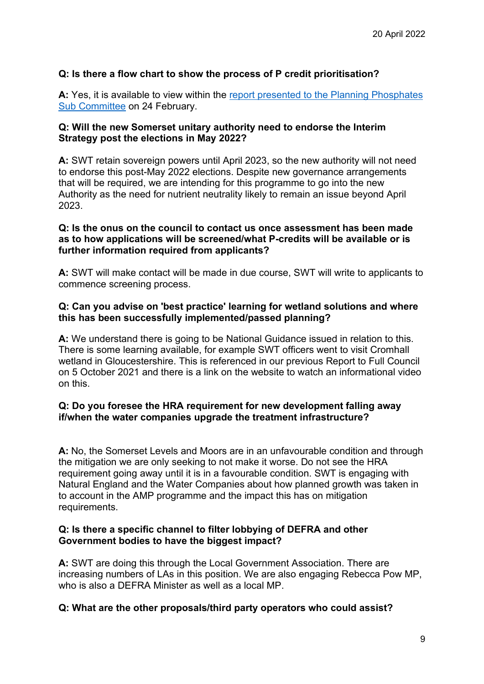## **Q: Is there a flow chart to show the process of P credit prioritisation?**

**A:** Yes, it is available to view within the [report presented to the Planning Phosphates](https://democracy.somersetwestandtaunton.gov.uk/documents/s18757/Update%20Report%20on%20Phosphates%20and%20criteriaprocess%20for%20allocation%20of%20credits%20to%20support%20the%20determiati.pdf)  [Sub Committee](https://democracy.somersetwestandtaunton.gov.uk/documents/s18757/Update%20Report%20on%20Phosphates%20and%20criteriaprocess%20for%20allocation%20of%20credits%20to%20support%20the%20determiati.pdf) on 24 February.

### **Q: Will the new Somerset unitary authority need to endorse the Interim Strategy post the elections in May 2022?**

**A:** SWT retain sovereign powers until April 2023, so the new authority will not need to endorse this post-May 2022 elections. Despite new governance arrangements that will be required, we are intending for this programme to go into the new Authority as the need for nutrient neutrality likely to remain an issue beyond April 2023.

#### **Q: Is the onus on the council to contact us once assessment has been made as to how applications will be screened/what P-credits will be available or is further information required from applicants?**

**A:** SWT will make contact will be made in due course, SWT will write to applicants to commence screening process.

#### **Q: Can you advise on 'best practice' learning for wetland solutions and where this has been successfully implemented/passed planning?**

**A:** We understand there is going to be National Guidance issued in relation to this. There is some learning available, for example SWT officers went to visit Cromhall wetland in Gloucestershire. This is referenced in our previous Report to Full Council on 5 October 2021 and there is a link on the website to watch an informational video on this.

### **Q: Do you foresee the HRA requirement for new development falling away if/when the water companies upgrade the treatment infrastructure?**

**A:** No, the Somerset Levels and Moors are in an unfavourable condition and through the mitigation we are only seeking to not make it worse. Do not see the HRA requirement going away until it is in a favourable condition. SWT is engaging with Natural England and the Water Companies about how planned growth was taken in to account in the AMP programme and the impact this has on mitigation requirements.

### **Q: Is there a specific channel to filter lobbying of DEFRA and other Government bodies to have the biggest impact?**

**A:** SWT are doing this through the Local Government Association. There are increasing numbers of LAs in this position. We are also engaging Rebecca Pow MP, who is also a DEFRA Minister as well as a local MP.

### **Q: What are the other proposals/third party operators who could assist?**